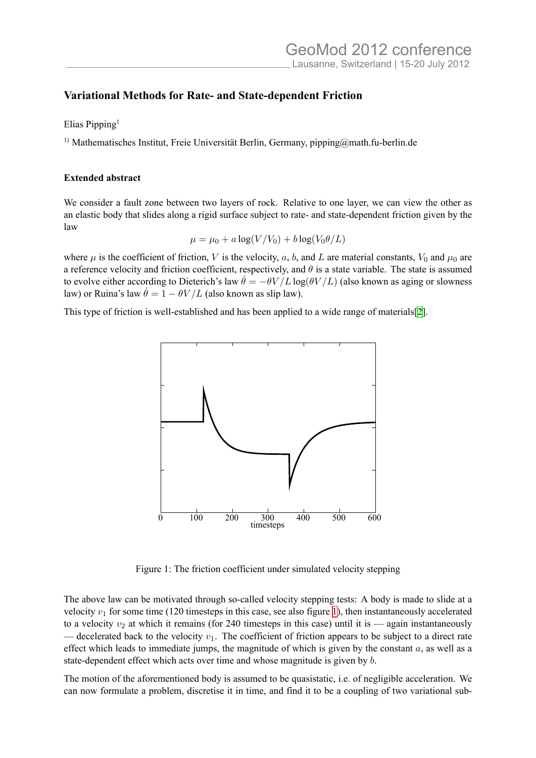## **Variational Methods for Rate- and State-dependent Friction**

Elias Pipping<sup>1</sup>

1) Mathematisches Institut, Freie Universität Berlin, Germany, pipping@math.fu-berlin.de

## **Extended abstract**

We consider a fault zone between two layers of rock. Relative to one layer, we can view the other as an elastic body that slides along a rigid surface subject to rate- and state-dependent friction given by the law

$$
\mu = \mu_0 + a \log(V/V_0) + b \log(V_0 \theta/L)
$$

where  $\mu$  is the coefficient of friction, *V* is the velocity, *a*, *b*, and *L* are material constants,  $V_0$  and  $\mu_0$  are a reference velocity and friction coefficient, respectively, and  $\theta$  is a state variable. The state is assumed to evolve either according to Dieterich's law  $\dot{\theta} = -\theta V/L \log(\theta V/L)$  (also known as aging or slowness law) or Ruina's law  $\dot{\theta} = 1 - \theta V/L$  (also known as slip law).

This type of friction is well-established and has been applied to a wide range of materials[2].



<span id="page-0-0"></span>Figure 1: The friction coefficient under simulated velocity stepping

The above law can be motivated through so-called velocity stepping tests: A body is made to slide at a velocity  $v_1$  for some time (120 timesteps in this case, see also figure 1), then instantaneously accelerated to a velocity  $v_2$  at which it remains (for 240 timesteps in this case) until it is — again instantaneously — decelerated back to the velocity  $v_1$ . The coefficient of friction appears to be subject to a direct rate effect which leads to immediate jumps, the magnitude of which is given by the constant *a*, as well as a state-dependent effect which acts over time and whose magnitude is [g](#page-0-0)iven by *b*.

The motion of the aforementioned body is assumed to be quasistatic, i.e. of negligible acceleration. We can now formulate a problem, discretise it in time, and find it to be a coupling of two variational sub